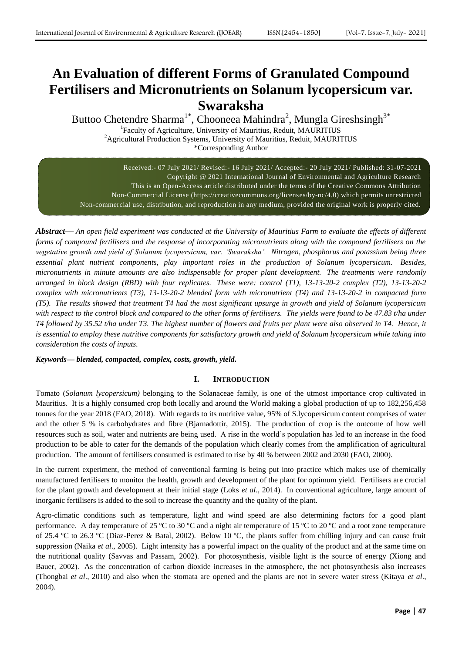# **An Evaluation of different Forms of Granulated Compound Fertilisers and Micronutrients on Solanum lycopersicum var. Swaraksha**

Buttoo Chetendre Sharma<sup>1\*</sup>, Chooneea Mahindra<sup>2</sup>, Mungla Gireshsingh<sup>3\*</sup>

<sup>1</sup>Faculty of Agriculture, University of Mauritius, Reduit, MAURITIUS <sup>2</sup>Agricultural Production Systems, University of Mauritius, Reduit, MAURITIUS \*Corresponding Author

Received:- 07 July 2021/ Revised:- 16 July 2021/ Accepted:- 20 July 2021/ Published: 31-07-2021 Copyright @ 2021 International Journal of Environmental and Agriculture Research This is an Open-Access article distributed under the terms of the Creative Commons Attribution Non-Commercial License (https://creativecommons.org/licenses/by-nc/4.0) which permits unrestricted Non-commercial use, distribution, and reproduction in any medium, provided the original work is properly cited.

*Abstract***—** *An open field experiment was conducted at the University of Mauritius Farm to evaluate the effects of different forms of compound fertilisers and the response of incorporating micronutrients along with the compound fertilisers on the vegetative growth and yield of Solanum lycopersicum, var. 'Swaraksha'. Nitrogen, phosphorus and potassium being three essential plant nutrient components, play important roles in the production of Solanum lycopersicum. Besides, micronutrients in minute amounts are also indispensable for proper plant development. The treatments were randomly arranged in block design (RBD) with four replicates. These were: control (T1), 13-13-20-2 complex (T2), 13-13-20-2 complex with micronutrients (T3), 13-13-20-2 blended form with micronutrient (T4) and 13-13-20-2 in compacted form (T5). The results showed that treatment T4 had the most significant upsurge in growth and yield of Solanum lycopersicum with respect to the control block and compared to the other forms of fertilisers. The yields were found to be 47.83 t/ha under T4 followed by 35.52 t/ha under T3. The highest number of flowers and fruits per plant were also observed in T4. Hence, it is essential to employ these nutritive components for satisfactory growth and yield of Solanum lycopersicum while taking into consideration the costs of inputs.*

# *Keywords— blended, compacted, complex, costs, growth, yield.*

# **I. INTRODUCTION**

Tomato (*Solanum lycopersicum)* belonging to the Solanaceae family, is one of the utmost importance crop cultivated in Mauritius. It is a highly consumed crop both locally and around the World making a global production of up to 182,256,458 tonnes for the year 2018 (FAO, 2018). With regards to its nutritive value, 95% of S.lycopersicum content comprises of water and the other 5 % is carbohydrates and fibre (Bjarnadottir, 2015). The production of crop is the outcome of how well resources such as soil, water and nutrients are being used. A rise in the world's population has led to an increase in the food production to be able to cater for the demands of the population which clearly comes from the amplification of agricultural production. The amount of fertilisers consumed is estimated to rise by 40 % between 2002 and 2030 (FAO, 2000).

In the current experiment, the method of conventional farming is being put into practice which makes use of chemically manufactured fertilisers to monitor the health, growth and development of the plant for optimum yield. Fertilisers are crucial for the plant growth and development at their initial stage (Loks *et al*., 2014). In conventional agriculture, large amount of inorganic fertilisers is added to the soil to increase the quantity and the quality of the plant.

Agro-climatic conditions such as temperature, light and wind speed are also determining factors for a good plant performance. A day temperature of 25 ºC to 30 ºC and a night air temperature of 15 ºC to 20 ºC and a root zone temperature of 25.4 ºC to 26.3 ºC (Diaz-Perez & Batal, 2002). Below 10 ºC, the plants suffer from chilling injury and can cause fruit suppression (Naika *et al*., 2005). Light intensity has a powerful impact on the quality of the product and at the same time on the nutritional quality (Savvas and Passam, 2002). For photosynthesis, visible light is the source of energy (Xiong and Bauer, 2002). As the concentration of carbon dioxide increases in the atmosphere, the net photosynthesis also increases (Thongbai *et al*., 2010) and also when the stomata are opened and the plants are not in severe water stress (Kitaya *et al*., 2004).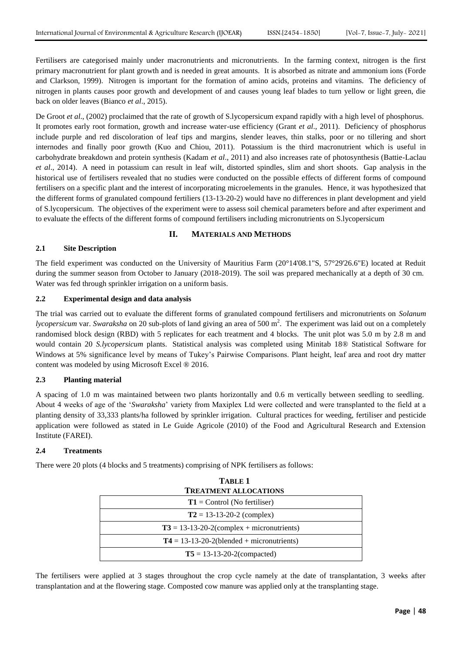Fertilisers are categorised mainly under macronutrients and micronutrients. In the farming context, nitrogen is the first primary macronutrient for plant growth and is needed in great amounts. It is absorbed as nitrate and ammonium ions (Forde and Clarkson, 1999). Nitrogen is important for the formation of amino acids, proteins and vitamins. The deficiency of nitrogen in plants causes poor growth and development of and causes young leaf blades to turn yellow or light green, die back on older leaves (Bianco *et al*., 2015).

De Groot *et al*., (2002) proclaimed that the rate of growth of S.lycopersicum expand rapidly with a high level of phosphorus. It promotes early root formation, growth and increase water-use efficiency (Grant *et al*., 2011). Deficiency of phosphorus include purple and red discoloration of leaf tips and margins, slender leaves, thin stalks, poor or no tillering and short internodes and finally poor growth (Kuo and Chiou, 2011). Potassium is the third macronutrient which is useful in carbohydrate breakdown and protein synthesis (Kadam *et al*., 2011) and also increases rate of photosynthesis (Battie-Laclau *et al*., 2014). A need in potassium can result in leaf wilt, distorted spindles, slim and short shoots. Gap analysis in the historical use of fertilisers revealed that no studies were conducted on the possible effects of different forms of compound fertilisers on a specific plant and the interest of incorporating microelements in the granules. Hence, it was hypothesized that the different forms of granulated compound fertiliers (13-13-20-2) would have no differences in plant development and yield of S.lycopersicum. The objectives of the experiment were to assess soil chemical parameters before and after experiment and to evaluate the effects of the different forms of compound fertilisers including micronutrients on S.lycopersicum

## **II. MATERIALS AND METHODS**

## **2.1 Site Description**

The field experiment was conducted on the University of Mauritius Farm (20°14'08.1"S, 57°29'26.6"E) located at Reduit during the summer season from October to January (2018-2019). The soil was prepared mechanically at a depth of 30 cm. Water was fed through sprinkler irrigation on a uniform basis.

## **2.2 Experimental design and data analysis**

The trial was carried out to evaluate the different forms of granulated compound fertilisers and micronutrients on *Solanum lycopersicum* var. *Swaraksha* on 20 sub-plots of land giving an area of 500 m<sup>2</sup>. The experiment was laid out on a completely randomised block design (RBD) with 5 replicates for each treatment and 4 blocks. The unit plot was 5.0 m by 2.8 m and would contain 20 *S.lycopersicum* plants. Statistical analysis was completed using Minitab 18® Statistical Software for Windows at 5% significance level by means of Tukey's Pairwise Comparisons. Plant height, leaf area and root dry matter content was modeled by using Microsoft Excel ® 2016.

# **2.3 Planting material**

A spacing of 1.0 m was maintained between two plants horizontally and 0.6 m vertically between seedling to seedling. About 4 weeks of age of the '*Swaraksha*' variety from Maxiplex Ltd were collected and were transplanted to the field at a planting density of 33,333 plants/ha followed by sprinkler irrigation. Cultural practices for weeding, fertiliser and pesticide application were followed as stated in Le Guide Agricole (2010) of the Food and Agricultural Research and Extension Institute (FAREI).

#### **2.4 Treatments**

There were 20 plots (4 blocks and 5 treatments) comprising of NPK fertilisers as follows:

| <b>TABLE 1</b>                               |  |  |  |
|----------------------------------------------|--|--|--|
| <b>TREATMENT ALLOCATIONS</b>                 |  |  |  |
| $T1 =$ Control (No fertiliser)               |  |  |  |
| $T2 = 13 - 13 - 20 - 2$ (complex)            |  |  |  |
| $T3 = 13-13-20-2$ (complex + micronutrients) |  |  |  |
| $T4 = 13-13-20-2$ (blended + micronutrients) |  |  |  |
| $T5 = 13 - 13 - 20 - 2$ (compacted)          |  |  |  |

The fertilisers were applied at 3 stages throughout the crop cycle namely at the date of transplantation, 3 weeks after transplantation and at the flowering stage. Composted cow manure was applied only at the transplanting stage.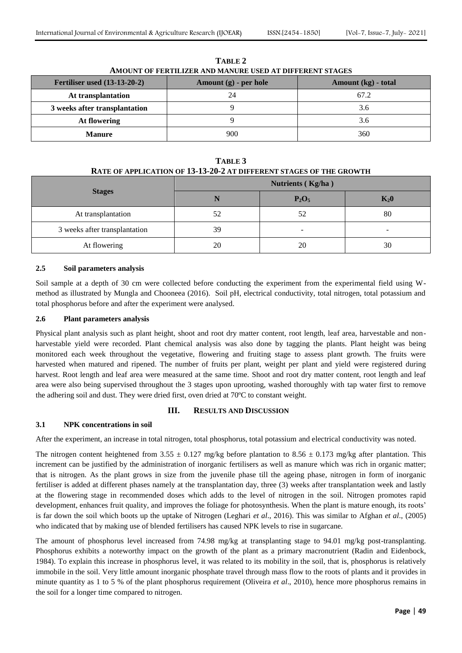| <b>Fertiliser used (13-13-20-2)</b> | Amount $(g)$ - per hole | Amount (kg) - total |  |
|-------------------------------------|-------------------------|---------------------|--|
| At transplantation                  | 24                      | 67.2                |  |
| 3 weeks after transplantation       |                         | 3.6                 |  |
| At flowering                        |                         | 3.6                 |  |
| <b>Manure</b>                       | 900                     | 360                 |  |

**TABLE 2 AMOUNT OF FERTILIZER AND MANURE USED AT DIFFERENT STAGES**

**TABLE 3 RATE OF APPLICATION OF 13-13-20-2 AT DIFFERENT STAGES OF THE GROWTH**

| A 111 01 M 1 DIVILLON OF AV 40 # 0 # 111 DH 1 DIADINI D'INODO OF THE ONO 0 TH |                   |                          |        |  |  |  |
|-------------------------------------------------------------------------------|-------------------|--------------------------|--------|--|--|--|
|                                                                               | Nutrients (Kg/ha) |                          |        |  |  |  |
| <b>Stages</b>                                                                 | IN                | $P_2O_5$                 | $K_20$ |  |  |  |
| At transplantation                                                            | 52                | 52                       | 80     |  |  |  |
| 3 weeks after transplantation                                                 | 39                | $\overline{\phantom{a}}$ | -      |  |  |  |
| At flowering                                                                  | 20                | 20                       | 30     |  |  |  |

## **2.5 Soil parameters analysis**

Soil sample at a depth of 30 cm were collected before conducting the experiment from the experimental field using Wmethod as illustrated by Mungla and Chooneea (2016). Soil pH, electrical conductivity, total nitrogen, total potassium and total phosphorus before and after the experiment were analysed.

# **2.6 Plant parameters analysis**

Physical plant analysis such as plant height, shoot and root dry matter content, root length, leaf area, harvestable and nonharvestable yield were recorded. Plant chemical analysis was also done by tagging the plants. Plant height was being monitored each week throughout the vegetative, flowering and fruiting stage to assess plant growth. The fruits were harvested when matured and ripened. The number of fruits per plant, weight per plant and yield were registered during harvest. Root length and leaf area were measured at the same time. Shoot and root dry matter content, root length and leaf area were also being supervised throughout the 3 stages upon uprooting, washed thoroughly with tap water first to remove the adhering soil and dust. They were dried first, oven dried at 70ºC to constant weight.

# **III. RESULTS AND DISCUSSION**

# **3.1 NPK concentrations in soil**

After the experiment, an increase in total nitrogen, total phosphorus, total potassium and electrical conductivity was noted.

The nitrogen content heightened from 3.55  $\pm$  0.127 mg/kg before plantation to 8.56  $\pm$  0.173 mg/kg after plantation. This increment can be justified by the administration of inorganic fertilisers as well as manure which was rich in organic matter; that is nitrogen. As the plant grows in size from the juvenile phase till the ageing phase, nitrogen in form of inorganic fertiliser is added at different phases namely at the transplantation day, three (3) weeks after transplantation week and lastly at the flowering stage in recommended doses which adds to the level of nitrogen in the soil. Nitrogen promotes rapid development, enhances fruit quality, and improves the foliage for photosynthesis. When the plant is mature enough, its roots' is far down the soil which boots up the uptake of Nitrogen (Leghari *et al*., 2016). This was similar to Afghan *et al*., (2005) who indicated that by making use of blended fertilisers has caused NPK levels to rise in sugarcane.

The amount of phosphorus level increased from 74.98 mg/kg at transplanting stage to 94.01 mg/kg post-transplanting. Phosphorus exhibits a noteworthy impact on the growth of the plant as a primary macronutrient (Radin and Eidenbock, 1984). To explain this increase in phosphorus level, it was related to its mobility in the soil, that is, phosphorus is relatively immobile in the soil. Very little amount inorganic phosphate travel through mass flow to the roots of plants and it provides in minute quantity as 1 to 5 % of the plant phosphorus requirement (Oliveira *et al*., 2010), hence more phosphorus remains in the soil for a longer time compared to nitrogen.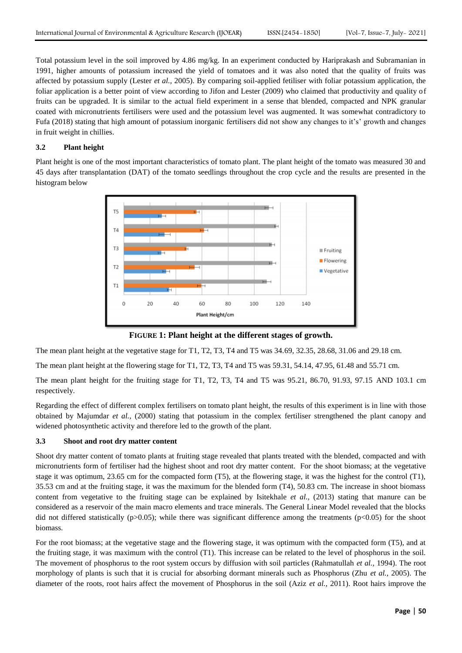Total potassium level in the soil improved by 4.86 mg/kg. In an experiment conducted by Hariprakash and Subramanian in 1991, higher amounts of potassium increased the yield of tomatoes and it was also noted that the quality of fruits was affected by potassium supply (Lester *et al.,* 2005). By comparing soil-applied fetiliser with foliar potassium application, the foliar application is a better point of view according to Jifon and Lester (2009) who claimed that productivity and quality of fruits can be upgraded. It is similar to the actual field experiment in a sense that blended, compacted and NPK granular coated with micronutrients fertilisers were used and the potassium level was augmented. It was somewhat contradictory to Fufa (2018) stating that high amount of potassium inorganic fertilisers did not show any changes to it's' growth and changes in fruit weight in chillies.

# **3.2 Plant height**

Plant height is one of the most important characteristics of tomato plant. The plant height of the tomato was measured 30 and 45 days after transplantation (DAT) of the tomato seedlings throughout the crop cycle and the results are presented in the histogram below



**FIGURE 1: Plant height at the different stages of growth.**

The mean plant height at the vegetative stage for T1, T2, T3, T4 and T5 was 34.69, 32.35, 28.68, 31.06 and 29.18 cm.

The mean plant height at the flowering stage for T1, T2, T3, T4 and T5 was 59.31, 54.14, 47.95, 61.48 and 55.71 cm.

The mean plant height for the fruiting stage for T1, T2, T3, T4 and T5 was 95.21, 86.70, 91.93, 97.15 AND 103.1 cm respectively.

Regarding the effect of different complex fertilisers on tomato plant height, the results of this experiment is in line with those obtained by Majumdar *et al.,* (2000) stating that potassium in the complex fertiliser strengthened the plant canopy and widened photosynthetic activity and therefore led to the growth of the plant.

#### **3.3 Shoot and root dry matter content**

Shoot dry matter content of tomato plants at fruiting stage revealed that plants treated with the blended, compacted and with micronutrients form of fertiliser had the highest shoot and root dry matter content. For the shoot biomass; at the vegetative stage it was optimum, 23.65 cm for the compacted form (T5), at the flowering stage, it was the highest for the control (T1), 35.53 cm and at the fruiting stage, it was the maximum for the blended form (T4), 50.83 cm. The increase in shoot biomass content from vegetative to the fruiting stage can be explained by Isitekhale *et al.,* (2013) stating that manure can be considered as a reservoir of the main macro elements and trace minerals. The General Linear Model revealed that the blocks did not differed statistically ( $p$ >0.05); while there was significant difference among the treatments ( $p$ <0.05) for the shoot biomass.

For the root biomass; at the vegetative stage and the flowering stage, it was optimum with the compacted form (T5), and at the fruiting stage, it was maximum with the control (T1). This increase can be related to the level of phosphorus in the soil. The movement of phosphorus to the root system occurs by diffusion with soil particles (Rahmatullah *et al.,* 1994). The root morphology of plants is such that it is crucial for absorbing dormant minerals such as Phosphorus (Zhu *et al.,* 2005). The diameter of the roots, root hairs affect the movement of Phosphorus in the soil (Aziz *et al.,* 2011). Root hairs improve the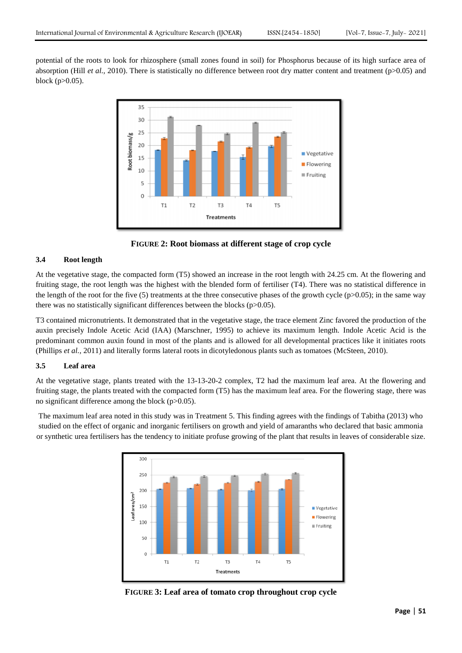potential of the roots to look for rhizosphere (small zones found in soil) for Phosphorus because of its high surface area of absorption (Hill *et al.,* 2010). There is statistically no difference between root dry matter content and treatment (p>0.05) and block ( $p > 0.05$ ).



**FIGURE 2: Root biomass at different stage of crop cycle**

## **3.4 Root length**

At the vegetative stage, the compacted form (T5) showed an increase in the root length with 24.25 cm. At the flowering and fruiting stage, the root length was the highest with the blended form of fertiliser (T4). There was no statistical difference in the length of the root for the five (5) treatments at the three consecutive phases of the growth cycle ( $p>0.05$ ); in the same way there was no statistically significant differences between the blocks (p>0.05).

T3 contained micronutrients. It demonstrated that in the vegetative stage, the trace element Zinc favored the production of the auxin precisely Indole Acetic Acid (IAA) (Marschner, 1995) to achieve its maximum length. Indole Acetic Acid is the predominant common auxin found in most of the plants and is allowed for all developmental practices like it initiates roots (Phillips *et al.,* 2011) and literally forms lateral roots in dicotyledonous plants such as tomatoes (McSteen, 2010).

## **3.5 Leaf area**

At the vegetative stage, plants treated with the 13-13-20-2 complex, T2 had the maximum leaf area. At the flowering and fruiting stage, the plants treated with the compacted form (T5) has the maximum leaf area. For the flowering stage, there was no significant difference among the block (p>0.05).

The maximum leaf area noted in this study was in Treatment 5. This finding agrees with the findings of Tabitha (2013) who studied on the effect of organic and inorganic fertilisers on growth and yield of amaranths who declared that basic ammonia or synthetic urea fertilisers has the tendency to initiate profuse growing of the plant that results in leaves of considerable size.



**FIGURE 3: Leaf area of tomato crop throughout crop cycle**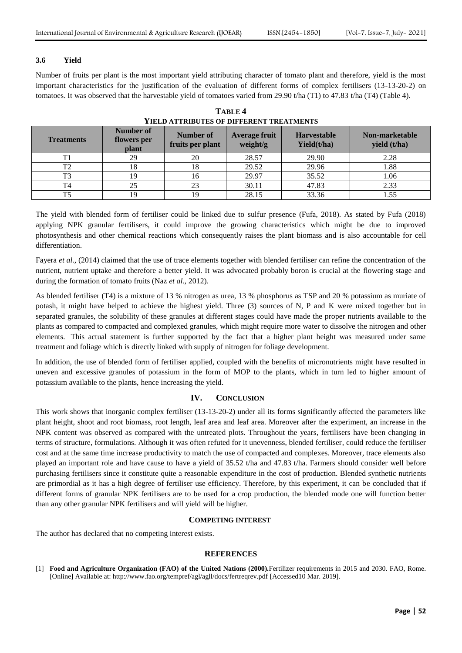# **3.6 Yield**

Number of fruits per plant is the most important yield attributing character of tomato plant and therefore, yield is the most important characteristics for the justification of the evaluation of different forms of complex fertilisers (13-13-20-2) on tomatoes. It was observed that the harvestable yield of tomatoes varied from 29.90 t/ha (T1) to 47.83 t/ha (T4) (Table 4).

| <b>Treatments</b> | Number of<br>flowers per<br>plant | Number of<br>fruits per plant | <b>Average fruit</b><br>weight/g | <b>Harvestable</b><br>Yield(t/ha) | Non-marketable<br>yield (t/ha) |
|-------------------|-----------------------------------|-------------------------------|----------------------------------|-----------------------------------|--------------------------------|
| T1                | 29                                | 20                            | 28.57                            | 29.90                             | 2.28                           |
| T2                | 18                                | 18                            | 29.52                            | 29.96                             | 1.88                           |
| T3                | 19                                | 16                            | 29.97                            | 35.52                             | 1.06                           |
| T <sub>4</sub>    | 25                                | 23                            | 30.11                            | 47.83                             | 2.33                           |
| T5                | 19                                | 19                            | 28.15                            | 33.36                             |                                |

**TABLE 4 YIELD ATTRIBUTES OF DIFFERENT TREATMENTS**

The yield with blended form of fertiliser could be linked due to sulfur presence (Fufa, 2018). As stated by Fufa (2018) applying NPK granular fertilisers, it could improve the growing characteristics which might be due to improved photosynthesis and other chemical reactions which consequently raises the plant biomass and is also accountable for cell differentiation.

Fayera *et al.*, (2014) claimed that the use of trace elements together with blended fertiliser can refine the concentration of the nutrient, nutrient uptake and therefore a better yield. It was advocated probably boron is crucial at the flowering stage and during the formation of tomato fruits (Naz *et al.,* 2012).

As blended fertiliser (T4) is a mixture of 13 % nitrogen as urea, 13 % phosphorus as TSP and 20 % potassium as muriate of potash, it might have helped to achieve the highest yield. Three (3) sources of N, P and K were mixed together but in separated granules, the solubility of these granules at different stages could have made the proper nutrients available to the plants as compared to compacted and complexed granules, which might require more water to dissolve the nitrogen and other elements. This actual statement is further supported by the fact that a higher plant height was measured under same treatment and foliage which is directly linked with supply of nitrogen for foliage development.

In addition, the use of blended form of fertiliser applied, coupled with the benefits of micronutrients might have resulted in uneven and excessive granules of potassium in the form of MOP to the plants, which in turn led to higher amount of potassium available to the plants, hence increasing the yield.

# **IV. CONCLUSION**

This work shows that inorganic complex fertiliser (13-13-20-2) under all its forms significantly affected the parameters like plant height, shoot and root biomass, root length, leaf area and leaf area. Moreover after the experiment, an increase in the NPK content was observed as compared with the untreated plots. Throughout the years, fertilisers have been changing in terms of structure, formulations. Although it was often refuted for it unevenness, blended fertiliser, could reduce the fertiliser cost and at the same time increase productivity to match the use of compacted and complexes. Moreover, trace elements also played an important role and have cause to have a yield of 35.52 t/ha and 47.83 t/ha. Farmers should consider well before purchasing fertilisers since it constitute quite a reasonable expenditure in the cost of production. Blended synthetic nutrients are primordial as it has a high degree of fertiliser use efficiency. Therefore, by this experiment, it can be concluded that if different forms of granular NPK fertilisers are to be used for a crop production, the blended mode one will function better than any other granular NPK fertilisers and will yield will be higher.

# **COMPETING INTEREST**

The author has declared that no competing interest exists.

# **REFERENCES**

[1] **Food and Agriculture Organization (FAO) of the United Nations (2000).**Fertilizer requirements in 2015 and 2030. FAO, Rome. [Online] Available at: http://www.fao.org/tempref/agl/agll/docs/fertreqrev.pdf [Accessed10 Mar. 2019].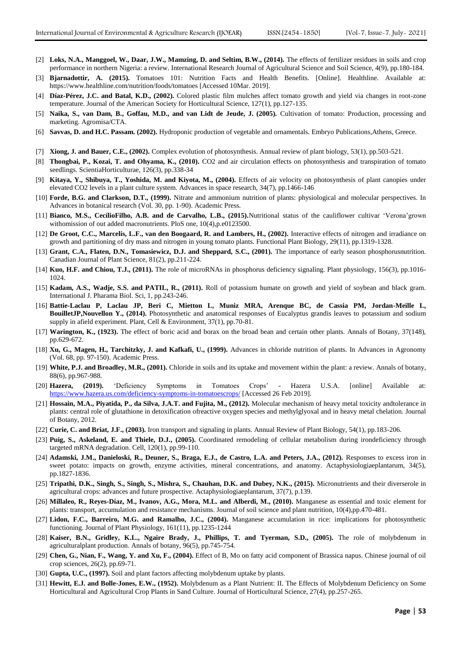- [2] **Loks, N.A., Manggoel, W., Daar, J.W., Mamzing, D. and Seltim, B.W., (2014).** The effects of fertilizer residues in soils and crop performance in northern Nigeria: a review. International Research Journal of Agricultural Science and Soil Science, 4(9), pp.180-184.
- [3] **Bjarnadottir, A. (2015).** Tomatoes 101: Nutrition Facts and Health Benefits. [Online]. Healthline. Available at: https://www.healthline.com/nutrition/foods/tomatoes [Accessed 10Mar. 2019].
- [4] **Díaz-Pérez, J.C. and Batal, K.D., (2002).** Colored plastic film mulches affect tomato growth and yield via changes in root-zone temperature. Journal of the American Society for Horticultural Science, 127(1), pp.127-135.
- [5] **Naika, S., van Dam, B., Goffau, M.D., and van Lidt de Jeude, J. (2005).** Cultivation of tomato: Production, processing and marketing. Agromisa/CTA.
- [6] **Savvas, D. and H.C. Passam. (2002).** Hydroponic production of vegetable and ornamentals. Embryo Publications,Athens, Greece.
- [7] **Xiong, J. and Bauer, C.E., (2002).** Complex evolution of photosynthesis. Annual review of plant biology, 53(1), pp.503-521.
- [8] **Thongbai, P., Kozai, T. and Ohyama, K., (2010).** CO2 and air circulation effects on photosynthesis and transpiration of tomato seedlings. ScientiaHorticulturae, 126(3), pp.338-34
- [9] **Kitaya, Y., Shibuya, T., Yoshida, M. and Kiyota, M., (2004).** Effects of air velocity on photosynthesis of plant canopies under elevated CO2 levels in a plant culture system. Advances in space research, 34(7), pp.1466-146
- [10] **Forde, B.G. and Clarkson, D.T., (1999).** Nitrate and ammonium nutrition of plants: physiological and molecular perspectives. In Advances in botanical research (Vol. 30, pp. 1-90). Academic Press.
- [11] **Bianco, M.S., CecílioFilho, A.B. and de Carvalho, L.B., (2015).**Nutritional status of the cauliflower cultivar 'Verona'grown withomission of out added macronutrients. PloS one, 10(4),p.e0123500.
- [12] **De Groot, C.C., Marcelis, L.F., van den Boogaard, R. and Lambers, H., (2002).** Interactive effects of nitrogen and irradiance on growth and partitioning of dry mass and nitrogen in young tomato plants. Functional Plant Biology, 29(11), pp.1319-1328.
- [13] **Grant, C.A., Flaten, D.N., Tomasiewicz, D.J. and Sheppard, S.C., (2001).** The importance of early season phosphorusnutrition. Canadian Journal of Plant Science, 81(2), pp.211-224.
- [14] **Kuo, H.F. and Chiou, T.J., (2011).** The role of microRNAs in phosphorus deficiency signaling. Plant physiology, 156(3), pp.1016- 1024.
- [15] **Kadam, A.S., Wadje, S.S. and PATIL, R., (2011).** Roll of potassium humate on growth and yield of soybean and black gram. International J. Pharama Biol. Sci, 1, pp.243-246.
- [16] **Battie-Laclau P, Laclau JP, Beri C, Mietton L, Muniz MRA, Arenque BC, de Cassia PM, Jordan-Meille L, BouilletJP,Nouvellon Y., (2014).** Photosynthetic and anatomical responses of Eucalyptus grandis leaves to potassium and sodium supply in afield experiment. Plant, Cell & Environment, 37(1), pp.70-81.
- [17] **Warington, K., (1923).** The effect of boric acid and borax on the broad bean and certain other plants. Annals of Botany, 37(148), pp.629-672.
- [18] **Xu, G., Magen, H., Tarchitzky, J. and Kafkafi, U., (1999).** Advances in chloride nutrition of plants. In Advances in Agronomy (Vol. 68, pp. 97-150). Academic Press.
- [19] **White, P.J. and Broadley, M.R., (2001).** Chloride in soils and its uptake and movement within the plant: a review. Annals of botany, 88(6), pp.967-988.
- [20] **Hazera, (2019).** 'Deficiency Symptoms in Tomatoes Crops' Hazera U.S.A. [online] Available at: <https://www.hazera.us.com/deficiency-symptoms-in-tomatoescrops/> [Accessed 26 Feb 2019].
- [21] **Hossain, M.A., Piyatida, P., da Silva, J.A.T. and Fujita, M., (2012).** Molecular mechanism of heavy metal toxicity andtolerance in plants: central role of glutathione in detoxification ofreactive oxygen species and methylglyoxal and in heavy metal chelation. Journal of Botany, 2012.
- [22] **Curie, C. and Briat, J.F., (2003).** Iron transport and signaling in plants. Annual Review of Plant Biology, 54(1), pp.183-206.
- [23] **Puig, S., Askeland, E. and Thiele, D.J., (2005).** Coordinated remodeling of cellular metabolism during irondeficiency through targeted mRNA degradation. Cell, 120(1), pp.99-110.
- [24] Adamski, J.M., Danieloski, R., Deuner, S., Braga, E.J., de Castro, L.A. and Peters, J.A., (2012). Responses to excess iron in sweet potato: impacts on growth, enzyme activities, mineral concentrations, and anatomy. Actaphysiologiaeplantarum, 34(5), pp.1827-1836.
- [25] **Tripathi, D.K., Singh, S., Singh, S., Mishra, S., Chauhan, D.K. and Dubey, N.K., (2015).** Micronutrients and their diverserole in agricultural crops: advances and future prospective. Actaphysiologiaeplantarum, 37(7), p.139.
- [26] **Millaleo, R., Reyes-Díaz, M., Ivanov, A.G., Mora, M.L. and Alberdi, M., (2010).** Manganese as essential and toxic element for plants: transport, accumulation and resistance mechanisms. Journal of soil science and plant nutrition, 10(4),pp.470-481.
- [27] **Lidon, F.C., Barreiro, M.G. and Ramalho, J.C., (2004).** Manganese accumulation in rice: implications for photosynthetic functioning. Journal of Plant Physiology, 161(11), pp.1235-1244
- [28] **Kaiser, B.N., Gridley, K.L., Ngaire Brady, J., Phillips, T. and Tyerman, S.D., (2005).** The role of molybdenum in agriculturalplant production. Annals of botany, 96(5), pp.745-754.
- [29] **Chen, G., Nian, F., Wang, Y. and Xu, F., (2004).** Effect of B, Mo on fatty acid component of Brassica napus. Chinese journal of oil crop sciences, 26(2), pp.69-71.
- [30] **Gupta, U.C., (1997).** Soil and plant factors affecting molybdenum uptake by plants.
- [31] **Hewitt, E.J. and Bolle-Jones, E.W., (1952).** Molybdenum as a Plant Nutrient: II. The Effects of Molybdenum Deficiency on Some Horticultural and Agricultural Crop Plants in Sand Culture. Journal of Horticultural Science, 27(4), pp.257-265.